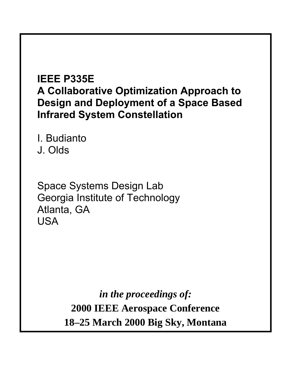# **IEEE P335E A Collaborative Optimization Approach to Design and Deployment of a Space Based Infrared System Constellation**

I. Budianto J. Olds

Space Systems Design Lab Georgia Institute of Technology Atlanta, GA USA

> *in the proceedings of:* **2000 IEEE Aerospace Conference 18–25 March 2000 Big Sky, Montana**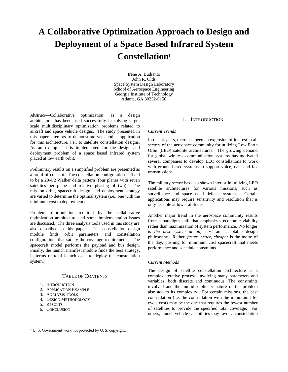## **A Collaborative Optimization Approach to Design and Deployment of a Space Based Infrared System Constellation<sup>1</sup>**

Irene A. Budianto John R. Olds Space System Design Laboratory School of Aerospace Engineering Georgia Institute of Technology Atlanta, GA 30332-0150

*Abstract*—Collaborative optimization, as a design architecture, has been used successfully in solving largescale multidisciplinary optimization problems related to aircraft and space vehicle designs. The study presented in this paper attempts to demonstrate yet another application for this architecture, i.e., to satellite constellation designs. As an example, it is implemented for the design and deployment problem of a space based infrared system placed at low earth orbit.

Preliminary results on a simplified problem are presented as a proof-of-concept. The constellation configuration is fixed to be a 28/4/2 Walker delta pattern (four planes with seven satellites per plane and relative phasing of two). The mission orbit, spacecraft design, and deployment strategy are varied to determine the optimal system (i.e., one with the minimum cost to deployment).

Problem reformulation required by the collaborative optimization architecture and some implementation issues are discussed. The three analysis tools used in this study are also described in this paper. The constellation design module finds orbit parameters and constellation configurations that satisfy the coverage requirements. The spacecraft model performs the payload and bus design. Finally, the launch manifest module finds the best strategy, in terms of total launch cost, to deploy the constellation system.

## TABLE OF CONTENTS

- 1. INTRODUCTION
- 2. APPLICATION EXAMPLE
- 3. ANALYSIS TOOLS
- 4. DESIGN METHODOLOGY
- 5. RESULTS

6. CONCLUSION

## 1. INTRODUCTION

#### *Current Trends*

In recent years, there has been an explosion of interest in all sectors of the aerospace community for utilizing Low Earth Orbit (LEO) satellite architectures. The growing demand for global wireless communication systems has motivated several companies to develop LEO constellations to work with ground-based systems to support voice, data and fax transmissions.

The military sector has also shown interest in utilizing LEO satellite architectures for various missions, such as surveillance and space-based defense systems. Certain applications may require sensitivity and resolution that is only feasible at lower altitudes.

Another major trend in the aerospace community results from a paradigm shift that emphasizes economic viability rather than maximization of system performance. No longer is *the best system at any cost* an acceptable design philosophy. Rather, *faster, better, cheaper* is the motto of the day, pushing for minimum cost spacecraft that meets performance and schedule constraints.

#### *Current Methods*

The design of satellite constellation architecture is a complex iterative process, involving many parameters and variables, both discrete and continuous. The constraints involved and the multidisciplinary nature of the problem also add to its complexity. For certain missions, the best constellation (i.e. the constellation with the minimum lifecycle cost) may be the one that requires the fewest number of satellites to provide the specified total coverage. For others, launch vehicle capabilities may favor a constellation

 $1 \text{ U}$ . S. Government work not protected by U. S. copyright.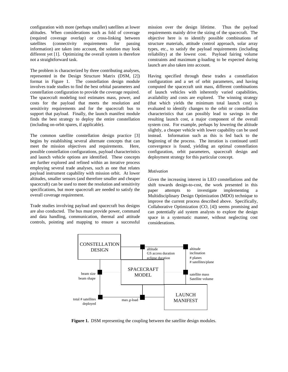configuration with more (perhaps smaller) satellites at lower altitudes. When considerations such as fold of coverage (required coverage overlap) or cross-linking between satellites (connectivity requirements for passing information) are taken into account, the solution may look different yet [1]. Optimizing the overall system is therefore not a straightforward task.

The problem is characterized by three contributing analyses, represented in the Design Structure Matrix (DSM, [2]) format in Figure 1. The constellation design module involves trade studies to find the best orbital parameters and constellation configuration to provide the coverage required. The spacecraft modeling tool estimates mass, power, and costs for the payload that meets the resolution and sensitivity requirements and for the spacecraft bus to support that payload. Finally, the launch manifest module finds the best strategy to deploy the entire constellation (including on-orbit spares, if applicable).

The common satellite constellation design practice [3] begins by establishing several alternate concepts that can meet the mission objectives and requirements. Here, possible constellation configurations, payload characteristics and launch vehicle options are identified. These concepts are further explored and refined within an iterative process employing several trade analyses, such as one that relates payload instrument capability with mission orbit. At lower altitudes, smaller sensors (and therefore smaller and cheaper spacecraft) can be used to meet the resolution and sensitivity specifications, but more spacecraft are needed to satisfy the overall coverage requirement.

Trade studies involving payload and spacecraft bus designs are also conducted. The bus must provide power, command and data handling, communication, thermal and attitude controls, pointing and mapping to ensure a successful mission over the design lifetime. Thus the payload requirements mainly drive the sizing of the spacecraft. The objective here is to identify possible combinations of structure materials, attitude control approach, solar array types, etc., to satisfy the payload requirements (including reliability) at the lowest cost. Payload fairing volume constraints and maximum g-loading to be expected during launch are also taken into account.

Having specified through these trades a constellation configuration and a set of orbit parameters, and having computed the spacecraft unit mass, different combinations of launch vehicles with inherently varied capabilities, availability and costs are explored. The winning strategy (that which yields the minimum total launch cost) is evaluated to identify changes to the orbit or constellation characteristics that can possibly lead to savings in the resulting launch cost, a major component of the overall system cost. For example, perhaps by lowering the altitude slightly, a cheaper vehicle with lower capability can be used instead. Information such as this is fed back to the beginning of the process. The iteration is continued until convergence is found, yielding an optimal constellation configuration, orbit parameters, spacecraft design and deployment strategy for this particular concept.

#### *Motivation*

Given the increasing interest in LEO constellations and the shift towards design-to-cost, the work presented in this paper attempts to investigate implementing a Multidisciplinary Design Optimization (MDO) technique to improve the current process described above. Specifically, Collaborative Optimization (CO, [4]) seems promising and can potentially aid system analysts to explore the design space in a systematic manner, without neglecting cost considerations.



**Figure 1.** DSM representing the coupling between the satellite design modules.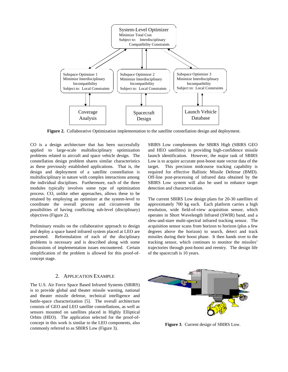

**Figure 2.** Collaborative Optimization implementation to the satellite constellation design and deployment.

CO is a design architecture that has been successfully applied to large-scale multidisciplinary optimization problems related to aircraft and space vehicle design. The constellation design problem shares similar characteristics as these previously established applications. That is, the design and deployment of a satellite constellation is multidisciplinary in nature with complex interactions among the individual disciplines. Furthermore, each of the three modules typically involves some type of optimization process. CO, unlike other approaches, allows these to be retained by employing an optimizer at the system-level to coordinate the overall process and circumvent the possibilities of having conflicting sub-level (disciplinary) objectives (Figure 2).

Preliminary results on the collaborative approach to design and deploy a space based infrared system placed at LEO are presented. Reformulation of each of the disciplinary problems is necessary and is described along with some discussions of implementation issues encountered. Certain simplification of the problem is allowed for this proof-ofconcept stage.

#### 2. APPLICATION EXAMPLE

The U.S. Air Force Space Based Infrared Systems (SBIRS) is to provide global and theater missile warning, national and theater missile defense, technical intelligence and battle-space characterization [5]. The overall architecture consists of GEO and LEO satellite constellations, as well as sensors mounted on satellites placed in Highly Elliptical Orbits (HEO). The application selected for the proof-ofconcept in this work is similar to the LEO components, also commonly referred to as SBIRS Low (Figure 3).

SBIRS Low complements the SBIRS High (SBIRS GEO and HEO satellites) in providing high-confidence missile launch identification. However, the major task of SBIRS Low is to acquire accurate post-boost state vector data of the target. This precision midcourse tracking capability is required for effective Ballistic Missile Defense (BMD). Off-line post-processing of infrared data obtained by the SBIRS Low system will also be used to enhance target detection and characterization.

The current SBIRS Low design plans for 20-30 satellites of approximately 700 kg each. Each platform carries a high resolution, wide field-of-view acquisition sensor, which operates in Short Wavelength Infrared (SWIR) band, and a slew-and-stare multi-spectral infrared tracking sensor. The acquisition sensor scans from horizon to horizon (plus a few degrees above the horizon) to search, detect and track missiles during their boost phase. It then hands over to the tracking sensor, which continues to monitor the missiles' trajectories through post-boost and reentry. The design life of the spacecraft is 10 years.



**Figure 3**. Current design of SBIRS Low.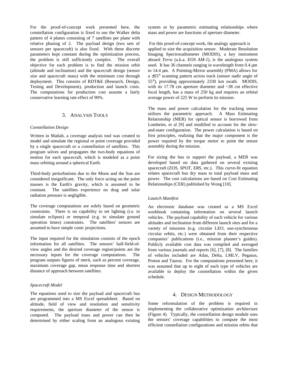For the proof-of-concept work presented here, the constellation configuration is fixed to use the Walker delta pattern of 4 planes consisting of 7 satellites per plane with relative phasing of 2. The payload design (two sets of sensors per spacecraft) is also fixed. With these discrete parameters kept constant during the optimization process, the problem is still sufficiently complex. The overall objective for each problem is to find the mission orbit (altitude and inclination) and the spacecraft design (sensor size and spacecraft mass) with the minimum cost through deployment. This consists of RDT&E (Research, Design, Testing and Development), production and launch costs. The computations for production cost assume a fairly conservative learning rate effect of 90%.

## 3. ANALYSIS TOOLS

#### *Constellation Design*

Written in Matlab, a coverage analysis tool was created to model and simulate the regional or point coverage provided by a single spacecraft or a constellation of satellites. This program solves and propagates the two-body equations of motion for each spacecraft, which is modeled as a point mass orbiting around a spherical Earth.

Third-body perturbations due to the Moon and the Sun are considered insignificant. The only force acting on the point masses is the Earth's gravity, which is assumed to be constant. The satellites experience no drag and solar radiation pressure is negligible.

The coverage computations are solely based on geometric constraints. There is no capability to set lighting (i.e. to simulate eclipses) or temporal (e.g. to simulate ground operation times) constraints. The satellites' sensors are assumed to have simple conic projections.

The input required for the simulation consists of the epoch information for all satellites. The sensors' half-field-ofview angles and the desired coverage region/points are the necessary inputs for the coverage computations. The program outputs figures of merit, such as percent coverage, maximum coverage gap, mean response time and shortest distance of approach between satellites.

## *Spacecraft Model*

The equations used to size the payload and spacecraft bus are programmed into a MS Excel spreadsheet. Based on altitude, field of view and resolution and sensitivity requirements, the aperture diameter of the sensor is computed. The payload mass and power can then be determined by either scaling from an analogous existing system or by parametric estimating relationships where mass and power are functions of aperture diameter.

 For this proof-of-concept work, the analogy approach is applied to size the acquisition sensor. Moderate Resolution Imaging Spectroradiometer (MODIS), a key instrument aboard *Terra* (a.k.a. *EOS AM-1*), is the analogous system used. It has 36 channels ranging in wavelength from 0.4 µm to 14.4 µm. A Pointing-Mirror assembly (PMA) allows for a ±55° scanning pattern across track (sensor nadir angle of 55°), providing approximately 2330 km swath. MODIS, with its 17.78 cm aperture diameter and ~38 cm effective focal length, has a mass of 250 kg and requires an orbital average power of 225 W to perform its mission.

The mass and power calculation for the tracking sensor utilizes the parametric approach. A Mass Estimating Relationship (MER) for optical sensor is borrowed from Lomheim, et al [9] and modified to account for the slewand-stare configuration. The power calculation is based on first principles, realizing that the major component is the power required by the torque motor to point the sensor assembly during the mission.

For sizing the bus to support the payload, a MER was developed based on data gathered on several existing spacecraft (*EOS*, *SPOT*, *ERS*, etc.). This curve-fit equation relates spacecraft bus dry mass to total payload mass and power. The cost calculations are based on Cost Estimating Relationships (CER) published by Wong [10].

## *Launch Manifest*

An electronic database was created as a MS Excel workbook containing information on several launch vehicles. The payload capability of each vehicle for various altitudes and inclination from different launch sites and for a variety of missions (e.g. circular LEO, sun-synchronous circular orbits, etc.) were obtained from their respective companies' publications (i.e., mission planner's guides). Publicly available cost data was compiled and averaged from various journals and reports [6], [7], [8]. The families of vehicles included are Atlas, Delta, LMLV, Pegasus, Proton and Taurus. For the computations presented here, it was assumed that up to eight of each type of vehicles are available to deploy the constellation within the given schedule.

## 4. DESIGN METHODOLOGY

Some reformulation of the problem is required in implementing the collaborative optimization architecture (Figure 4). Typically, the constellation design module uses the sensors' coverage capabilities to compute the most efficient constellation configurations and mission orbits that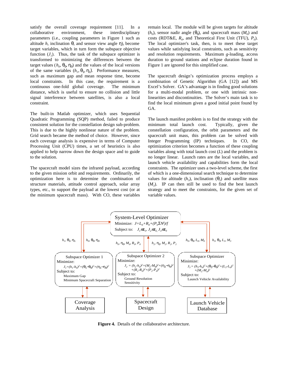satisfy the overall coverage requirement [11]. In a collaborative environment, these interdisciplinary parameters (i.e., coupling parameters in Figure 1 such as altitude *h*, inclination , and sensor view angle ), become target variables, which in turn form the subspace objective function  $(J_1)$ . Thus, the task of the subspace optimizer is transformed to minimizing the differences between the target values ( $h_{0}, \quad \circ \quad \circ$ ) and the values of the local versions of the same variables  $(h_1, \ldots, h_{n-1})$ . Performance measures, such as maximum gap and mean response time, become local constraints. In this case, the requirement is a continuous one-fold global coverage. The minimum distance, which is useful to ensure no collision and little signal interference between satellites, is also a local constraint.

The built-in Matlab optimizer, which uses Sequential Quadratic Programming (SQP) method, failed to produce consistent solution for the constellation design sub-problem. This is due to the highly nonlinear nature of the problem. Grid search became the method of choice. However, since each coverage analysis is expensive in terms of Computer Processing Unit (CPU) times, a set of heuristics is also applied to help narrow down the design space and to guide to the solution.

The spacecraft model sizes the infrared payload, according to the given mission orbit and requirements. Ordinarily, the optimization here is to determine the combination of structure materials, attitude control approach, solar array types, etc., to support the payload at the lowest cost (or at the minimum spacecraft mass). With CO, these variables

remain local. The module will be given targets for altitude  $(h_0)$ , sensor nadir angle ( $\partial$ ), and spacecraft mass  $(M_0)$  and costs (RDT&E,  $R_0$ , and Theoretical First Unit (TFU),  $P_0$ ). The local optimizer's task, then, is to meet these target values while satisfying local constraints, such as sensitivity and resolution requirements. Maximum *g*-loading, access duration to ground stations and eclipse duration found in Figure 1 are ignored for this simplified case.

The spacecraft design's optimization process employs a combination of Genetic Algorithm (GA [12]) and MS Excel's Solver. GA's advantage is in finding good solutions for a multi-modal problem, or one with intrinsic nonlinearities and discontinuities. The Solver's main task is to find the local minimum given a good initial point found by GA.

The launch manifest problem is to find the strategy with the minimum total launch cost. Typically, given the constellation configuration, the orbit parameters and the spacecraft unit mass, this problem can be solved with Integer Programming (IP) techniques. In CO, the optimization criterion becomes a function of these coupling variables along with total launch cost (*L*) and the problem is no longer linear. Launch rates are the local variables, and launch vehicle availability and capabilities form the local constraints. The optimizer uses a two-level scheme, the first of which is a one-dimensional search technique to determine values for altitude  $(h_3)$ , inclination  $\left(\begin{array}{c}1\end{array}\right)$  and satellite mass  $(M_3)$ . IP can then still be used to find the best launch strategy and to meet the constraints, for the given set of variable values.



**Figure 4.** Details of the collaborative architecture.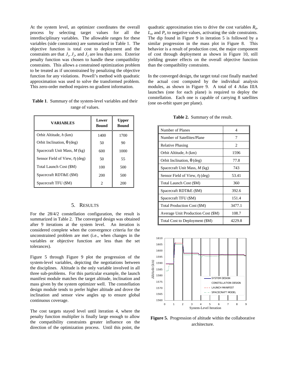At the system level, an optimizer coordinates the overall process by selecting target values for all the interdisciplinary variables. The allowable ranges for these variables (side constraints) are summarized in Table 1. The objective function is total cost to deployment and the constraints are that  $J_1$ ,  $J_2$ , and  $J_3$  are less than zero. Exterior penalty function was chosen to handle these compatibility constraints. This allows a constrained optimization problem to be treated as if unconstrained by penalizing the objective function for any violations. Powell's method with quadratic approximation was used to solve the transformed problem. This zero-order method requires no gradient information.

**Table 1**. Summary of the system-level variables and their range of values.

| <b>VARIABLES</b>                     | Lower<br><b>Bound</b> | <b>Upper</b><br><b>Bound</b> |
|--------------------------------------|-----------------------|------------------------------|
| Orbit Altitude, h (km)               | 1400                  | 1700                         |
| Orbit Inclination,<br>$(\text{deg})$ | 50                    | 90                           |
| Spacecraft Unit Mass, $M$ (kg)       | 600                   | 1000                         |
| Sensor Field of View, (deg)          | 50                    | 55                           |
| Total Launch Cost (\$M)              | 100                   | 500                          |
| Spacecraft RDT&E (\$M)               | 200                   | 500                          |
| Spacecraft TFU (\$M)                 | $\mathfrak{D}$        | 200                          |

## 5. RESULTS

For the 28/4/2 constellation configuration, the result is summarized in Table 2. The converged design was obtained after 9 iterations at the system level. An iteration is considered complete when the convergence criteria for the unconstrained problem are met (i.e., when changes in the variables or objective function are less than the set tolerances).

Figure 5 through Figure 9 plot the progression of the system-level variables, depicting the negotiations between the disciplines. Altitude is the only variable involved in all three sub-problems. For this particular example, the launch manifest module matches the target altitude, inclination and mass given by the system optimizer well. The constellation design module tends to prefer higher altitude and drove the inclination and sensor view angles up to ensure global continuous coverage.

The cost targets stayed level until iteration 4, where the penalty function multiplier is finally large enough to allow the compatibility constraints greater influence on the direction of the optimization process. Until this point, the

quadratic approximation tries to drive the cost variables *R<sup>0</sup>* ,  $L_0$ , and  $P_0$  to negative values, activating the side constraints. The dip found in Figure 9 in iteration 5 is followed by a similar progression in the mass plot in Figure 8. This behavior is a result of production cost, the major component of cost through deployment as shown in Figure 10, still yielding greater effects on the overall objective function than the compatibility constraints.

In the converged design, the target total cost finally matched the actual cost computed by the individual analysis modules, as shown in Figure 9. A total of 4 Atlas IIIA launches (one for each plane) is required to deploy the constellation. Each one is capable of carrying 8 satellites (one on-orbit spare per plane).

|  | Table 2. Summary of the result. |  |  |
|--|---------------------------------|--|--|
|--|---------------------------------|--|--|

| Number of Planes                   | 4      |
|------------------------------------|--------|
| Number of Satellites/Plane         | 7      |
| <b>Relative Phasing</b>            | 2      |
| Orbit Altitude, h (km)             | 1596   |
| Orbit Inclination, (deg)           | 77.8   |
| Spacecraft Unit Mass, $M$ (kg)     | 743    |
| Sensor Field of View, (deg)        | 53.41  |
| Total Launch Cost (\$M)            | 360    |
| Spacecraft RDT&E (\$M)             | 392.6  |
| Spacecraft TFU (\$M)               | 151.4  |
| Total Production Cost (\$M)        | 3477.1 |
| Average Unit Production Cost (\$M) | 108.7  |
| Total Cost to Deployment (\$M)     | 4229.8 |



**Figure 5.** Progression of altitude within the collaborative architecture.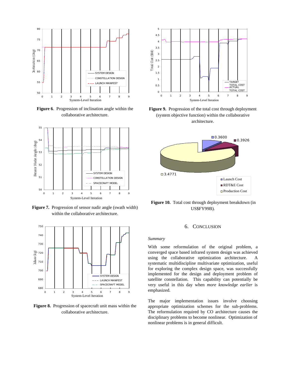

**Figure 6**. Progression of inclination angle within the collaborative architecture.



Figure 7. Progression of sensor nadir angle (swath width) within the collaborative architecture.



**Figure 8.** Progression of spacecraft unit mass within the collaborative architecture.



**Figure 9.** Progression of the total cost through deployment (system objective function) within the collaborative architecture.



 **Figure 10.** Total cost through deployment breakdown (in US\$FY99B).

## 6. CONCLUSION

#### *Summary*

With some reformulation of the original problem, a converged space based infrared system design was achieved using the collaborative optimization architecture. A systematic multidiscipline multivariate optimization, useful for exploring the complex design space, was successfully implemented for the design and deployment problem of satellite constellation. This capability can potentially be very useful in this day when *more knowledge earlier* is emphasized.

The major implementation issues involve choosing appropriate optimization schemes for the sub-problems. The reformulation required by CO architecture causes the disciplinary problems to become nonlinear. Optimization of nonlinear problems is in general difficult.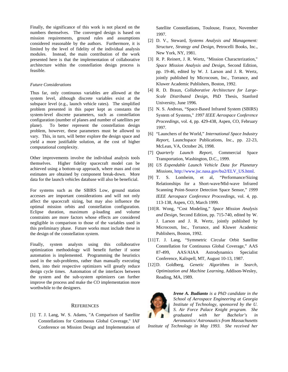Finally, the significance of this work is not placed on the numbers themselves. The converged design is based on mission requirements, ground rules and assumptions considered reasonable by the authors. Furthermore, it is limited by the level of fidelity of the individual analysis modules. Instead, the main contribution of the work presented here is that the implementation of collaborative architecture within the constellation design process is feasible.

## *Future Considerations*

Thus far, only continuous variables are allowed at the system level, although discrete variables exist at the subspace level (e.g., launch vehicle rates). The simplified problem presented in this paper kept as constants the system-level discrete parameters, such as constellation configuration (number of planes and number of satellites per plane). To better represent the constellation design problem, however, these parameters must be allowed to vary. This, in turn, will better explore the design space and yield a more justifiable solution, at the cost of higher computational complexity.

Other improvements involve the individual analysis tools themselves. Higher fidelity spacecraft model can be achieved using a bottom-up approach, where mass and cost estimates are obtained by component break-down. More data for the launch vehicles database will also be beneficial.

For systems such as the SBIRS Low, ground station accesses are important considerations and will not only affect the spacecraft sizing, but may also influence the optimal mission orbits and constellation configuration. Eclipse duration, maximum *g*-loading and volume constraints are more factors whose effects are considered negligible in comparison to those of the variables used in this preliminary phase. Future works must include these in the design of the constellation system.

Finally, system analysts using this collaborative optimization methodology will benefit further if some automation is implemented. Programming the heuristics used in the sub-problems, rather than manually executing them, into their respective optimizers will greatly reduce design cycle times. Automation of the interfaces between the system and the sub-system optimizers can further improve the process and make the CO implementation more worthwhile to the designers.

## **REFERENCES**

[1] T. J. Lang, W. S. Adams, "A Comparison of Satellite Constellations for Continuous Global Coverage," IAF Conference on Mission Design and Implementation of Satellite Constellations, Toulouse, France, November 1997.

- [2] D. V., Steward, *Systems Analysis and Management: Structure, Strategy and Design,* Petrocelli Books, Inc., New York, NY, 1981.
- [3] R. P. Reinert, J. R. Wertz, "Mission Characterization," *Space Mission Analysis and Design*, Second Edition, pp. 19-46, edited by W. J. Larson and J. R. Wertz, jointly published by Microcosm, Inc., Torrance, and Kluwer Academic Publishers, Boston, 1992.
- [4] R. D. Braun, *Collaborative Architecture for Large-Scale Distributed Design*, PhD Thesis, Stanford University, June 1996.
- [5] N. S. Andreas, "Space-Based Infrared System (SBIRS) System of Systems," *1997 IEEE Aerospace Conference Proceedings*, vol. 4, pp. 429-438, Aspen, CO, February 1997.
- [6] "Launchers of the World," *International Space Industry Report*, Launchspace Publications, Inc., pp. 22-23, McLean, VA, October 26, 1998.
- [7] *Quarterly Launch Report*, Commercial Space Transportation, Washington, D.C., 1999.
- [8] *US Expendable Launch Vehicle Data for Planetary Missions*, http://www.jsc.nasa.gov/bu2/ELV\_US.html.
- [9] T. S. Lomheim, et al, "Performance/Sizing Relationships for a Short-wave/Mid-wave Infrared Scanning Point-Source Detection Space Sensor," *1999 IEEE Aerospace Conference Proceedings*, vol. 4, pp. 113-138, Aspen, CO, March 1999.
- [10]R. Wong, "Cost Modeling," *Space Mission Analysis and Design*, Second Edition, pp. 715-740, edited by W. J. Larson and J. R. Wertz, jointly published by Microcosm, Inc., Torrance, and Kluwer Academic Publishers, Boston, 1992.
- [11]T. J. Lang, "Symmetric Circular Orbit Satellite Constellation for Continuous Global Coverage," AAS 87-499, AAS/AIAA Astrodynamics Specialist Conference, Kalispell, MT, August 10-13, 1987.
- [12]D. Goldberg, *Genetic Algorithms in Search, Optimization and Machine Learning,* Addison-Wesley, Reading, MA, 1989.



*Irene A. Budianto is a PhD candidate in the School of Aerospace Engineering at Georgia Institute of Technology, sponsored by the U. S. Air Force Palace Knight program. She graduated with her Bachelor's in Aeronautics/ Astronautics from Massachusetts*

*Institute of Technology in May 1993. She received her*